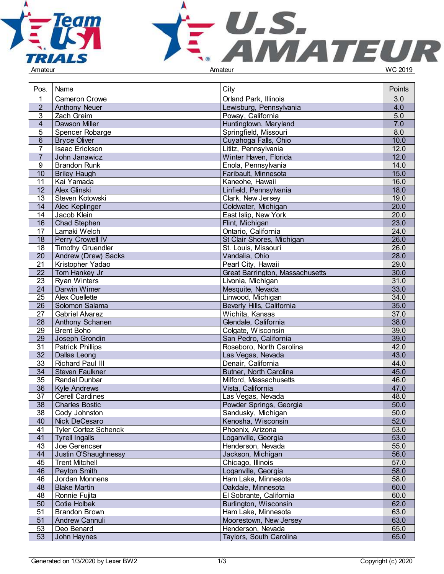



| Pos.            | Name                          | City                            | Points            |
|-----------------|-------------------------------|---------------------------------|-------------------|
| $\mathbf{1}$    | <b>Cameron Crowe</b>          | Orland Park, Illinois           | 3.0               |
| $\overline{2}$  | <b>Anthony Neuer</b>          | Lewisburg, Pennsylvania         | 4.0               |
| 3               | Zach Greim                    | Poway, California               | $5.0$             |
| $\overline{4}$  | Dawson Miller                 | Huntingtown, Maryland           | 7.0               |
| 5               | Spencer Robarge               | Springfield, Missouri           | 8.0               |
| $6\phantom{1}$  | <b>Bryce Oliver</b>           | Cuyahoga Falls, Ohio            | 10.0              |
| $\overline{7}$  | Isaac Erickson                | Lititz, Pennsylvania            | 12.0              |
| $\overline{7}$  | John Janawicz                 | Winter Haven, Florida           | 12.0              |
| 9               | <b>Brandon Runk</b>           | Enola, Pennsylvania             | 14.0              |
| 10              | <b>Briley Haugh</b>           | Faribault, Minnesota            | 15.0              |
| 11              | Kai Yamada                    | Kaneohe, Hawaii                 | 16.0              |
| 12              | Alex Glinski                  | Linfield, Pennsylvania          | 18.0              |
| 13              | Steven Kotowski               | Clark, New Jersey               | 19.0              |
| 14              |                               | Coldwater, Michigan             | $\overline{20.0}$ |
|                 | Alec Keplinger<br>Jacob Klein | East Islip, New York            |                   |
| 14              |                               |                                 | 20.0<br>23.0      |
| 16              | Chad Stephen                  | Flint, Michigan                 |                   |
| 17              | Lamaki Welch                  | Ontario, California             | 24.0              |
| 18              | Perry Crowell IV              | St Clair Shores, Michigan       | 26.0              |
| 18              | Timothy Gruendler             | St. Louis, Missouri             | 26.0              |
| 20              | Andrew (Drew) Sacks           | Vandalia, Ohio                  | 28.0              |
| 21              | Kristopher Yadao              | Pearl City, Hawaii              | 29.0              |
| 22              | Tom Hankey Jr                 | Great Barrington, Massachusetts | 30.0              |
| 23              | <b>Ryan Winters</b>           | Livonia, Michigan               | 31.0              |
| 24              | Darwin Wimer                  | Mesquite, Nevada                | 33.0              |
| 25              | <b>Alex Ouellette</b>         | Linwood, Michigan               | 34.0              |
| $\overline{26}$ | Solomon Salama                | Beverly Hills, California       | 35.0              |
| 27              | <b>Gabriel Alvarez</b>        | Wichita, Kansas                 | 37.0              |
| 28              | Anthony Schanen               | Glendale, California            | 38.0              |
| 29              | <b>Brent Boho</b>             | Colgate, Wisconsin              | 39.0              |
| 29              | Joseph Grondin                | San Pedro, California           | 39.0              |
| $\overline{31}$ | <b>Patrick Phillips</b>       | Roseboro, North Carolina        | 42.0              |
| $\overline{32}$ | Dallas Leong                  | Las Vegas, Nevada               | 43.0              |
| 33              | Richard Paul III              | Denair, California              | 44.0              |
| 34              | Steven Faulkner               | Butner, North Carolina          | 45.0              |
| 35              | Randal Dunbar                 | Milford, Massachusetts          | 46.0              |
| 36              | <b>Kyle Andrews</b>           | Vista, California               | 47.0              |
| 37              | <b>Cerell Cardines</b>        | Las Vegas, Nevada               | 48.0              |
| 38              | <b>Charles Bostic</b>         | Powder Springs, Georgia         | 50.0              |
| 38              | Cody Johnston                 | Sandusky, Michigan              | 50.0              |
| 40              | Nick DeCesaro                 | Kenosha, Wisconsin              | 52.0              |
| 41              | <b>Tyler Cortez Schenck</b>   | Phoenix, Arizona                | 53.0              |
| 41              | Tyrell Ingalls                | Loganville, Georgia             | 53.0              |
| 43              | Joe Gerencser                 | Henderson, Nevada               | 55.0              |
| 44              | Justin O'Shaughnessy          | Jackson, Michigan               | 56.0              |
| 45              | <b>Trent Mitchell</b>         | Chicago, Illinois               | 57.0              |
| 46              | Peyton Smith                  | Loganville, Georgia             | 58.0              |
| 46              | Jordan Monnens                | Ham Lake, Minnesota             | 58.0              |
| 48              | <b>Blake Martin</b>           | Oakdale, Minnesota              | 60.0              |
| 48              | Ronnie Fujita                 | El Sobrante, California         | 60.0              |
| 50              | Cotie Holbek                  | Burlington, Wisconsin           | 62.0              |
| 51              | <b>Brandon Brown</b>          | Ham Lake, Minnesota             | 63.0              |
| 51              | Andrew Cannuli                | Moorestown, New Jersey          | 63.0              |
| 53              | Deo Benard                    | Henderson, Nevada               | 65.0              |
| 53              | John Haynes                   | Taylors, South Carolina         | 65.0              |
|                 |                               |                                 |                   |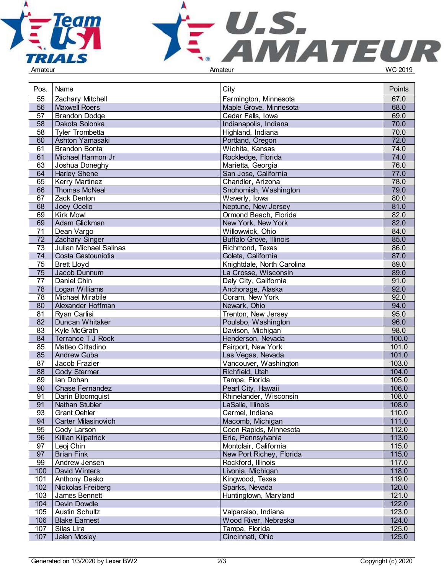



| Pos.            | Name                       | City                           | Points |
|-----------------|----------------------------|--------------------------------|--------|
| 55              | Zachary Mitchell           | Farmington, Minnesota          | 67.0   |
| $\overline{56}$ | Maxwell Roers              | Maple Grove, Minnesota         | 68.0   |
| 57              | <b>Brandon Dodge</b>       | Cedar Falls, Iowa              | 69.0   |
| 58              | Dakota Solonka             | Indianapolis, Indiana          | 70.0   |
| 58              | <b>Tyler Trombetta</b>     | Highland, Indiana              | 70.0   |
| 60              | Ashton Yamasaki            | Portland, Oregon               | 72.0   |
| 61              | <b>Brandon Bonta</b>       | Wichita, Kansas                | 74.0   |
| 61              | Michael Harmon Jr          | Rockledge, Florida             | 74.0   |
| 63              | Joshua Doneghy             | Marietta, Georgia              | 76.0   |
| 64              | <b>Harley Shene</b>        | San Jose, California           | 77.0   |
| 65              | <b>Kerry Martinez</b>      | Chandler, Arizona              | 78.0   |
| 66              |                            |                                | 79.0   |
|                 | Thomas McNeal              | Snohomish, Washington          |        |
| 67              | Zack Denton                | Waverly, Iowa                  | 80.0   |
| 68              | Joey Ocello                | Neptune, New Jersey            | 81.0   |
| 69              | <b>Kirk Mowl</b>           | Ormond Beach, Florida          | 82.0   |
| 69              | Adam Glickman              | New York, New York             | 82.0   |
| 71              | Dean Vargo                 | Willowwick, Ohio               | 84.0   |
| 72              | Zachary Singer             | <b>Buffalo Grove, Illinois</b> | 85.0   |
| 73              | Julian Michael Salinas     | Richmond, Texas                | 86.0   |
| 74              | Costa Gastouniotis         | Goleta, California             | 87.0   |
| 75              | <b>Brett Lloyd</b>         | Knightdale, North Carolina     | 89.0   |
| 75              | Jacob Dunnum               | La Crosse, Wisconsin           | 89.0   |
| 77              | Daniel Chin                | Daly City, California          | 91.0   |
| 78              | Logan Williams             | Anchorage, Alaska              | 92.0   |
| 78              | <b>Michael Mirabile</b>    | Coram, New York                | 92.0   |
| 80              | Alexander Hoffman          | Newark, Ohio                   | 94.0   |
| 81              | Ryan Carlisi               | Trenton, New Jersey            | 95.0   |
| 82              | Duncan Whitaker            | Poulsbo, Washington            | 96.0   |
| 83              | Kyle McGrath               | Davison, Michigan              | 98.0   |
| 84              | Terrance T J Rock          | Henderson, Nevada              | 100.0  |
| 85              | Matteo Cittadino           | Fairport, New York             | 101.0  |
| 85              | <b>Andrew Guba</b>         | Las Vegas, Nevada              | 101.0  |
| 87              | Jacob Frazier              | Vancouver, Washington          | 103.0  |
| 88              | Cody Stermer               | Richfield, Utah                | 104.0  |
| 89              | Ian Dohan                  | Tampa, Florida                 | 105.0  |
| 90              | <b>Chase Fernandez</b>     | Pearl City, Hawaii             | 106.0  |
| 91              | Darin Bloomquist           | Rhinelander, Wisconsin         | 108.0  |
| 91              | <b>Nathan Stubler</b>      | LaSalle, Illinois              | 108.0  |
| 93              | <b>Grant Oehler</b>        | Carmel, Indiana                | 110.0  |
| 94              | <b>Carter Milasinovich</b> | Macomb, Michigan               | 111.0  |
| 95              | Cody Larson                | Coon Rapids, Minnesota         | 112.0  |
| 96              | Killian Kilpatrick         | Erie, Pennsylvania             | 113.0  |
| 97              | Leoj Chin                  | Montclair, California          | 115.0  |
| 97              | <b>Brian Fink</b>          | New Port Richey, Florida       | 115.0  |
| 99              | Andrew Jensen              | Rockford, Illinois             | 117.0  |
| 100             | David Winters              | Livonia, Michigan              | 118.0  |
| 101             | <b>Anthony Desko</b>       | Kingwood, Texas                | 119.0  |
| 102             | Nickolas Freiberg          | Sparks, Nevada                 | 120.0  |
| 103             | James Bennett              | Huntingtown, Maryland          | 121.0  |
| 104             | Devin Dowdle               |                                | 122.0  |
| 105             |                            |                                | 123.0  |
|                 | Austin Schultz             | Valparaiso, Indiana            |        |
| 106             | <b>Blake Earnest</b>       | Wood River, Nebraska           | 124.0  |
| 107             | Silas Lira                 | Tampa, Florida                 | 125.0  |
| 107             | Jalen Mosley               | Cincinnati, Ohio               | 125.0  |